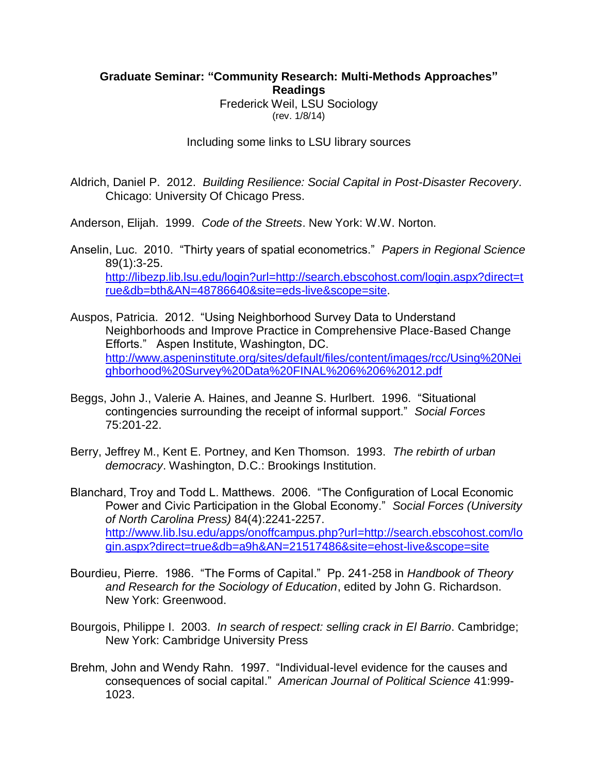## **Graduate Seminar: "Community Research: Multi-Methods Approaches" Readings**

Frederick Weil, LSU Sociology (rev. 1/8/14)

Including some links to LSU library sources

Aldrich, Daniel P. 2012. *Building Resilience: Social Capital in Post-Disaster Recovery*. Chicago: University Of Chicago Press.

Anderson, Elijah. 1999. *Code of the Streets*. New York: W.W. Norton.

Anselin, Luc. 2010. "Thirty years of spatial econometrics." *Papers in Regional Science* 89(1):3-25. [http://libezp.lib.lsu.edu/login?url=http://search.ebscohost.com/login.aspx?direct=t](http://libezp.lib.lsu.edu/login?url=http://search.ebscohost.com/login.aspx?direct=true&db=bth&AN=48786640&site=eds-live&scope=site) [rue&db=bth&AN=48786640&site=eds-live&scope=site.](http://libezp.lib.lsu.edu/login?url=http://search.ebscohost.com/login.aspx?direct=true&db=bth&AN=48786640&site=eds-live&scope=site)

Auspos, Patricia. 2012. "Using Neighborhood Survey Data to Understand Neighborhoods and Improve Practice in Comprehensive Place-Based Change Efforts." Aspen Institute, Washington, DC. [http://www.aspeninstitute.org/sites/default/files/content/images/rcc/Using%20Nei](http://www.aspeninstitute.org/sites/default/files/content/images/rcc/Using%20Neighborhood%20Survey%20Data%20FINAL%206%206%2012.pdf) [ghborhood%20Survey%20Data%20FINAL%206%206%2012.pdf](http://www.aspeninstitute.org/sites/default/files/content/images/rcc/Using%20Neighborhood%20Survey%20Data%20FINAL%206%206%2012.pdf)

- Beggs, John J., Valerie A. Haines, and Jeanne S. Hurlbert. 1996. "Situational contingencies surrounding the receipt of informal support." *Social Forces* 75:201-22.
- Berry, Jeffrey M., Kent E. Portney, and Ken Thomson. 1993. *The rebirth of urban democracy*. Washington, D.C.: Brookings Institution.

Blanchard, Troy and Todd L. Matthews. 2006. "The Configuration of Local Economic Power and Civic Participation in the Global Economy." *Social Forces (University of North Carolina Press)* 84(4):2241-2257. [http://www.lib.lsu.edu/apps/onoffcampus.php?url=http://search.ebscohost.com/lo](http://www.lib.lsu.edu/apps/onoffcampus.php?url=http://search.ebscohost.com/login.aspx?direct=true&db=a9h&AN=21517486&site=ehost-live&scope=site) [gin.aspx?direct=true&db=a9h&AN=21517486&site=ehost-live&scope=site](http://www.lib.lsu.edu/apps/onoffcampus.php?url=http://search.ebscohost.com/login.aspx?direct=true&db=a9h&AN=21517486&site=ehost-live&scope=site)

- Bourdieu, Pierre. 1986. "The Forms of Capital." Pp. 241-258 in *Handbook of Theory and Research for the Sociology of Education*, edited by John G. Richardson. New York: Greenwood.
- Bourgois, Philippe I. 2003. *In search of respect: selling crack in El Barrio*. Cambridge; New York: Cambridge University Press
- Brehm, John and Wendy Rahn. 1997. "Individual-level evidence for the causes and consequences of social capital." *American Journal of Political Science* 41:999- 1023.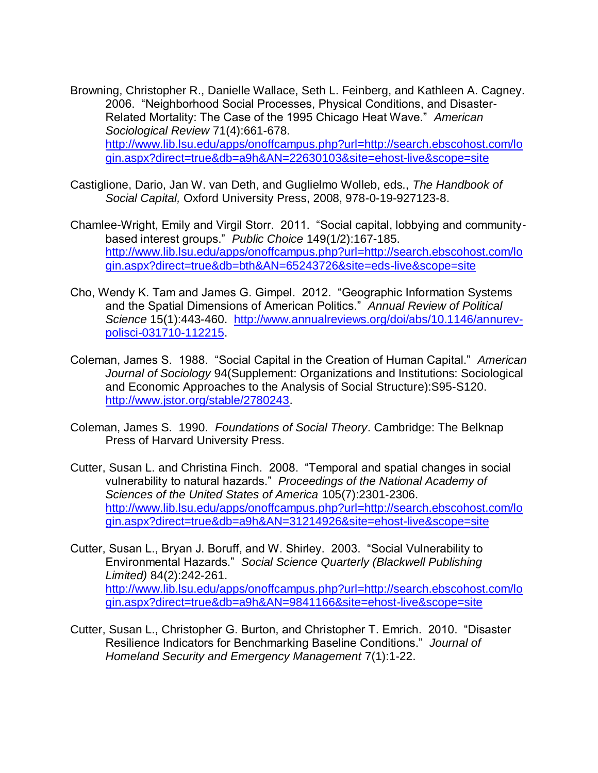- Browning, Christopher R., Danielle Wallace, Seth L. Feinberg, and Kathleen A. Cagney. 2006. "Neighborhood Social Processes, Physical Conditions, and Disaster-Related Mortality: The Case of the 1995 Chicago Heat Wave." *American Sociological Review* 71(4):661-678. [http://www.lib.lsu.edu/apps/onoffcampus.php?url=http://search.ebscohost.com/lo](http://www.lib.lsu.edu/apps/onoffcampus.php?url=http://search.ebscohost.com/login.aspx?direct=true&db=a9h&AN=22630103&site=ehost-live&scope=site) [gin.aspx?direct=true&db=a9h&AN=22630103&site=ehost-live&scope=site](http://www.lib.lsu.edu/apps/onoffcampus.php?url=http://search.ebscohost.com/login.aspx?direct=true&db=a9h&AN=22630103&site=ehost-live&scope=site)
- Castiglione, Dario, Jan W. van Deth, and Guglielmo Wolleb, eds., *The Handbook of Social Capital,* Oxford University Press, 2008, 978-0-19-927123-8.
- Chamlee-Wright, Emily and Virgil Storr. 2011. "Social capital, lobbying and communitybased interest groups." *Public Choice* 149(1/2):167-185. [http://www.lib.lsu.edu/apps/onoffcampus.php?url=http://search.ebscohost.com/lo](http://www.lib.lsu.edu/apps/onoffcampus.php?url=http://search.ebscohost.com/login.aspx?direct=true&db=bth&AN=65243726&site=eds-live&scope=site) [gin.aspx?direct=true&db=bth&AN=65243726&site=eds-live&scope=site](http://www.lib.lsu.edu/apps/onoffcampus.php?url=http://search.ebscohost.com/login.aspx?direct=true&db=bth&AN=65243726&site=eds-live&scope=site)
- Cho, Wendy K. Tam and James G. Gimpel. 2012. "Geographic Information Systems and the Spatial Dimensions of American Politics." *Annual Review of Political Science* 15(1):443-460. [http://www.annualreviews.org/doi/abs/10.1146/annurev](http://www.annualreviews.org/doi/abs/10.1146/annurev-polisci-031710-112215)[polisci-031710-112215.](http://www.annualreviews.org/doi/abs/10.1146/annurev-polisci-031710-112215)
- Coleman, James S. 1988. "Social Capital in the Creation of Human Capital." *American Journal of Sociology* 94(Supplement: Organizations and Institutions: Sociological and Economic Approaches to the Analysis of Social Structure):S95-S120. [http://www.jstor.org/stable/2780243.](http://www.jstor.org/stable/2780243)
- Coleman, James S. 1990. *Foundations of Social Theory*. Cambridge: The Belknap Press of Harvard University Press.
- Cutter, Susan L. and Christina Finch. 2008. "Temporal and spatial changes in social vulnerability to natural hazards." *Proceedings of the National Academy of Sciences of the United States of America* 105(7):2301-2306. [http://www.lib.lsu.edu/apps/onoffcampus.php?url=http://search.ebscohost.com/lo](http://www.lib.lsu.edu/apps/onoffcampus.php?url=http://search.ebscohost.com/login.aspx?direct=true&db=a9h&AN=31214926&site=ehost-live&scope=site) [gin.aspx?direct=true&db=a9h&AN=31214926&site=ehost-live&scope=site](http://www.lib.lsu.edu/apps/onoffcampus.php?url=http://search.ebscohost.com/login.aspx?direct=true&db=a9h&AN=31214926&site=ehost-live&scope=site)
- Cutter, Susan L., Bryan J. Boruff, and W. Shirley. 2003. "Social Vulnerability to Environmental Hazards." *Social Science Quarterly (Blackwell Publishing Limited)* 84(2):242-261. [http://www.lib.lsu.edu/apps/onoffcampus.php?url=http://search.ebscohost.com/lo](http://www.lib.lsu.edu/apps/onoffcampus.php?url=http://search.ebscohost.com/login.aspx?direct=true&db=a9h&AN=9841166&site=ehost-live&scope=site) [gin.aspx?direct=true&db=a9h&AN=9841166&site=ehost-live&scope=site](http://www.lib.lsu.edu/apps/onoffcampus.php?url=http://search.ebscohost.com/login.aspx?direct=true&db=a9h&AN=9841166&site=ehost-live&scope=site)
- Cutter, Susan L., Christopher G. Burton, and Christopher T. Emrich. 2010. "Disaster Resilience Indicators for Benchmarking Baseline Conditions." *Journal of Homeland Security and Emergency Management* 7(1):1-22.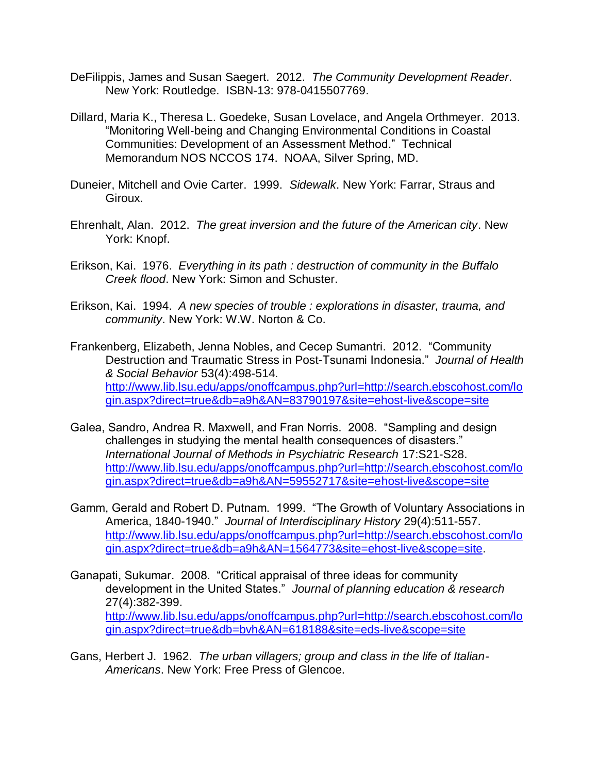- DeFilippis, James and Susan Saegert. 2012. *The Community Development Reader*. New York: Routledge. ISBN-13: 978-0415507769.
- Dillard, Maria K., Theresa L. Goedeke, Susan Lovelace, and Angela Orthmeyer. 2013. "Monitoring Well-being and Changing Environmental Conditions in Coastal Communities: Development of an Assessment Method." Technical Memorandum NOS NCCOS 174. NOAA, Silver Spring, MD.
- Duneier, Mitchell and Ovie Carter. 1999. *Sidewalk*. New York: Farrar, Straus and Giroux.
- Ehrenhalt, Alan. 2012. *The great inversion and the future of the American city*. New York: Knopf.
- Erikson, Kai. 1976. *Everything in its path : destruction of community in the Buffalo Creek flood*. New York: Simon and Schuster.
- Erikson, Kai. 1994. *A new species of trouble : explorations in disaster, trauma, and community*. New York: W.W. Norton & Co.
- Frankenberg, Elizabeth, Jenna Nobles, and Cecep Sumantri. 2012. "Community Destruction and Traumatic Stress in Post-Tsunami Indonesia." *Journal of Health & Social Behavior* 53(4):498-514. [http://www.lib.lsu.edu/apps/onoffcampus.php?url=http://search.ebscohost.com/lo](http://www.lib.lsu.edu/apps/onoffcampus.php?url=http://search.ebscohost.com/login.aspx?direct=true&db=a9h&AN=83790197&site=ehost-live&scope=site) [gin.aspx?direct=true&db=a9h&AN=83790197&site=ehost-live&scope=site](http://www.lib.lsu.edu/apps/onoffcampus.php?url=http://search.ebscohost.com/login.aspx?direct=true&db=a9h&AN=83790197&site=ehost-live&scope=site)
- Galea, Sandro, Andrea R. Maxwell, and Fran Norris. 2008. "Sampling and design challenges in studying the mental health consequences of disasters." *International Journal of Methods in Psychiatric Research* 17:S21-S28. [http://www.lib.lsu.edu/apps/onoffcampus.php?url=http://search.ebscohost.com/lo](http://www.lib.lsu.edu/apps/onoffcampus.php?url=http://search.ebscohost.com/login.aspx?direct=true&db=a9h&AN=59552717&site=ehost-live&scope=site) [gin.aspx?direct=true&db=a9h&AN=59552717&site=ehost-live&scope=site](http://www.lib.lsu.edu/apps/onoffcampus.php?url=http://search.ebscohost.com/login.aspx?direct=true&db=a9h&AN=59552717&site=ehost-live&scope=site)
- Gamm, Gerald and Robert D. Putnam. 1999. "The Growth of Voluntary Associations in America, 1840-1940." *Journal of Interdisciplinary History* 29(4):511-557. [http://www.lib.lsu.edu/apps/onoffcampus.php?url=http://search.ebscohost.com/lo](http://www.lib.lsu.edu/apps/onoffcampus.php?url=http://search.ebscohost.com/login.aspx?direct=true&db=a9h&AN=1564773&site=ehost-live&scope=site) [gin.aspx?direct=true&db=a9h&AN=1564773&site=ehost-live&scope=site.](http://www.lib.lsu.edu/apps/onoffcampus.php?url=http://search.ebscohost.com/login.aspx?direct=true&db=a9h&AN=1564773&site=ehost-live&scope=site)
- Ganapati, Sukumar. 2008. "Critical appraisal of three ideas for community development in the United States." *Journal of planning education & research* 27(4):382-399. [http://www.lib.lsu.edu/apps/onoffcampus.php?url=http://search.ebscohost.com/lo](http://www.lib.lsu.edu/apps/onoffcampus.php?url=http://search.ebscohost.com/login.aspx?direct=true&db=bvh&AN=618188&site=eds-live&scope=site) [gin.aspx?direct=true&db=bvh&AN=618188&site=eds-live&scope=site](http://www.lib.lsu.edu/apps/onoffcampus.php?url=http://search.ebscohost.com/login.aspx?direct=true&db=bvh&AN=618188&site=eds-live&scope=site)
- Gans, Herbert J. 1962. *The urban villagers; group and class in the life of Italian-Americans*. New York: Free Press of Glencoe.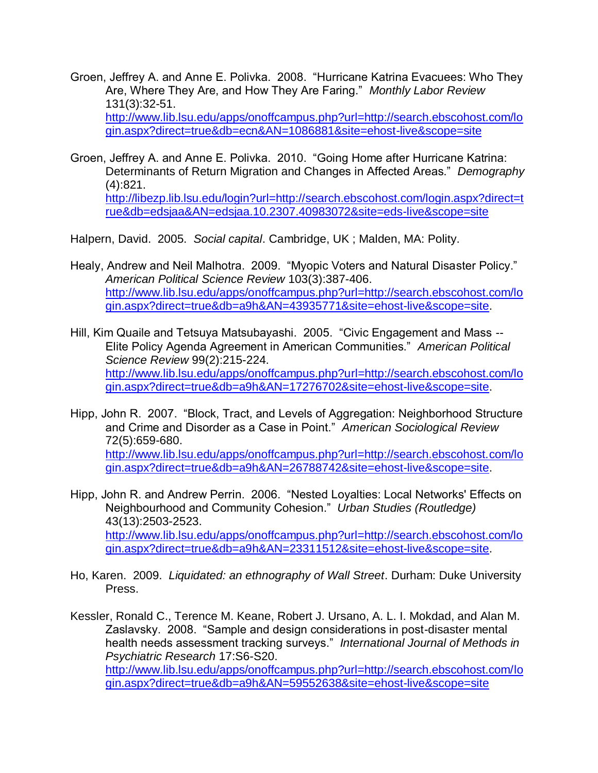- Groen, Jeffrey A. and Anne E. Polivka. 2008. "Hurricane Katrina Evacuees: Who They Are, Where They Are, and How They Are Faring." *Monthly Labor Review* 131(3):32-51. [http://www.lib.lsu.edu/apps/onoffcampus.php?url=http://search.ebscohost.com/lo](http://www.lib.lsu.edu/apps/onoffcampus.php?url=http://search.ebscohost.com/login.aspx?direct=true&db=ecn&AN=1086881&site=ehost-live&scope=site) [gin.aspx?direct=true&db=ecn&AN=1086881&site=ehost-live&scope=site](http://www.lib.lsu.edu/apps/onoffcampus.php?url=http://search.ebscohost.com/login.aspx?direct=true&db=ecn&AN=1086881&site=ehost-live&scope=site)
- Groen, Jeffrey A. and Anne E. Polivka. 2010. "Going Home after Hurricane Katrina: Determinants of Return Migration and Changes in Affected Areas." *Demography* (4):821. [http://libezp.lib.lsu.edu/login?url=http://search.ebscohost.com/login.aspx?direct=t](http://libezp.lib.lsu.edu/login?url=http://search.ebscohost.com/login.aspx?direct=true&db=edsjaa&AN=edsjaa.10.2307.40983072&site=eds-live&scope=site)

[rue&db=edsjaa&AN=edsjaa.10.2307.40983072&site=eds-live&scope=site](http://libezp.lib.lsu.edu/login?url=http://search.ebscohost.com/login.aspx?direct=true&db=edsjaa&AN=edsjaa.10.2307.40983072&site=eds-live&scope=site)

Halpern, David. 2005. *Social capital*. Cambridge, UK ; Malden, MA: Polity.

- Healy, Andrew and Neil Malhotra. 2009. "Myopic Voters and Natural Disaster Policy." *American Political Science Review* 103(3):387-406. [http://www.lib.lsu.edu/apps/onoffcampus.php?url=http://search.ebscohost.com/lo](http://www.lib.lsu.edu/apps/onoffcampus.php?url=http://search.ebscohost.com/login.aspx?direct=true&db=a9h&AN=43935771&site=ehost-live&scope=site) [gin.aspx?direct=true&db=a9h&AN=43935771&site=ehost-live&scope=site.](http://www.lib.lsu.edu/apps/onoffcampus.php?url=http://search.ebscohost.com/login.aspx?direct=true&db=a9h&AN=43935771&site=ehost-live&scope=site)
- Hill, Kim Quaile and Tetsuya Matsubayashi. 2005. "Civic Engagement and Mass -- Elite Policy Agenda Agreement in American Communities." *American Political Science Review* 99(2):215-224. [http://www.lib.lsu.edu/apps/onoffcampus.php?url=http://search.ebscohost.com/lo](http://www.lib.lsu.edu/apps/onoffcampus.php?url=http://search.ebscohost.com/login.aspx?direct=true&db=a9h&AN=17276702&site=ehost-live&scope=site) [gin.aspx?direct=true&db=a9h&AN=17276702&site=ehost-live&scope=site.](http://www.lib.lsu.edu/apps/onoffcampus.php?url=http://search.ebscohost.com/login.aspx?direct=true&db=a9h&AN=17276702&site=ehost-live&scope=site)
- Hipp, John R. 2007. "Block, Tract, and Levels of Aggregation: Neighborhood Structure and Crime and Disorder as a Case in Point." *American Sociological Review* 72(5):659-680. [http://www.lib.lsu.edu/apps/onoffcampus.php?url=http://search.ebscohost.com/lo](http://www.lib.lsu.edu/apps/onoffcampus.php?url=http://search.ebscohost.com/login.aspx?direct=true&db=a9h&AN=26788742&site=ehost-live&scope=site) [gin.aspx?direct=true&db=a9h&AN=26788742&site=ehost-live&scope=site.](http://www.lib.lsu.edu/apps/onoffcampus.php?url=http://search.ebscohost.com/login.aspx?direct=true&db=a9h&AN=26788742&site=ehost-live&scope=site)
- Hipp, John R. and Andrew Perrin. 2006. "Nested Loyalties: Local Networks' Effects on Neighbourhood and Community Cohesion." *Urban Studies (Routledge)* 43(13):2503-2523. [http://www.lib.lsu.edu/apps/onoffcampus.php?url=http://search.ebscohost.com/lo](http://www.lib.lsu.edu/apps/onoffcampus.php?url=http://search.ebscohost.com/login.aspx?direct=true&db=a9h&AN=23311512&site=ehost-live&scope=site) [gin.aspx?direct=true&db=a9h&AN=23311512&site=ehost-live&scope=site.](http://www.lib.lsu.edu/apps/onoffcampus.php?url=http://search.ebscohost.com/login.aspx?direct=true&db=a9h&AN=23311512&site=ehost-live&scope=site)
- Ho, Karen. 2009. *Liquidated: an ethnography of Wall Street*. Durham: Duke University Press.
- Kessler, Ronald C., Terence M. Keane, Robert J. Ursano, A. L. I. Mokdad, and Alan M. Zaslavsky. 2008. "Sample and design considerations in post-disaster mental health needs assessment tracking surveys." *International Journal of Methods in Psychiatric Research* 17:S6-S20. [http://www.lib.lsu.edu/apps/onoffcampus.php?url=http://search.ebscohost.com/lo](http://www.lib.lsu.edu/apps/onoffcampus.php?url=http://search.ebscohost.com/login.aspx?direct=true&db=a9h&AN=59552638&site=ehost-live&scope=site) [gin.aspx?direct=true&db=a9h&AN=59552638&site=ehost-live&scope=site](http://www.lib.lsu.edu/apps/onoffcampus.php?url=http://search.ebscohost.com/login.aspx?direct=true&db=a9h&AN=59552638&site=ehost-live&scope=site)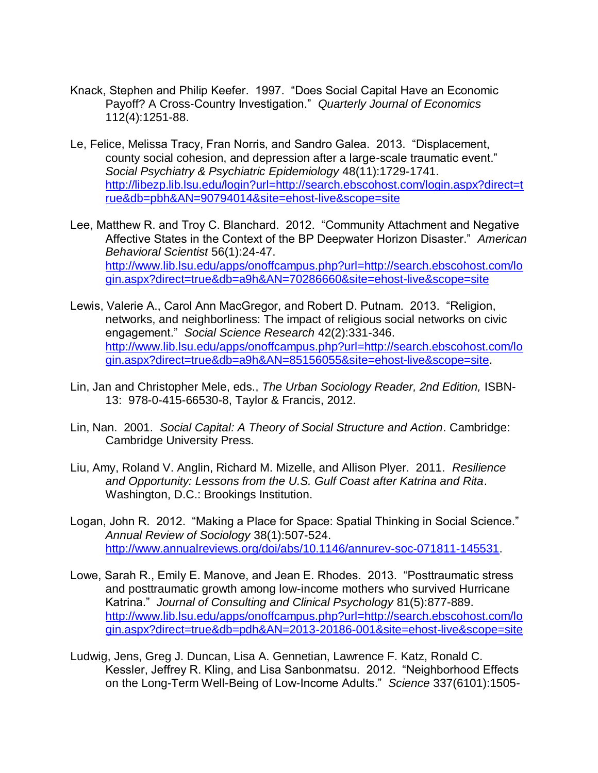- Knack, Stephen and Philip Keefer. 1997. "Does Social Capital Have an Economic Payoff? A Cross-Country Investigation." *Quarterly Journal of Economics* 112(4):1251-88.
- Le, Felice, Melissa Tracy, Fran Norris, and Sandro Galea. 2013. "Displacement, county social cohesion, and depression after a large-scale traumatic event." *Social Psychiatry & Psychiatric Epidemiology* 48(11):1729-1741. [http://libezp.lib.lsu.edu/login?url=http://search.ebscohost.com/login.aspx?direct=t](http://libezp.lib.lsu.edu/login?url=http://search.ebscohost.com/login.aspx?direct=true&db=pbh&AN=90794014&site=ehost-live&scope=site) [rue&db=pbh&AN=90794014&site=ehost-live&scope=site](http://libezp.lib.lsu.edu/login?url=http://search.ebscohost.com/login.aspx?direct=true&db=pbh&AN=90794014&site=ehost-live&scope=site)
- Lee, Matthew R. and Troy C. Blanchard. 2012. "Community Attachment and Negative Affective States in the Context of the BP Deepwater Horizon Disaster." *American Behavioral Scientist* 56(1):24-47. [http://www.lib.lsu.edu/apps/onoffcampus.php?url=http://search.ebscohost.com/lo](http://www.lib.lsu.edu/apps/onoffcampus.php?url=http://search.ebscohost.com/login.aspx?direct=true&db=a9h&AN=70286660&site=ehost-live&scope=site) [gin.aspx?direct=true&db=a9h&AN=70286660&site=ehost-live&scope=site](http://www.lib.lsu.edu/apps/onoffcampus.php?url=http://search.ebscohost.com/login.aspx?direct=true&db=a9h&AN=70286660&site=ehost-live&scope=site)
- Lewis, Valerie A., Carol Ann MacGregor, and Robert D. Putnam. 2013. "Religion, networks, and neighborliness: The impact of religious social networks on civic engagement." *Social Science Research* 42(2):331-346. [http://www.lib.lsu.edu/apps/onoffcampus.php?url=http://search.ebscohost.com/lo](http://www.lib.lsu.edu/apps/onoffcampus.php?url=http://search.ebscohost.com/login.aspx?direct=true&db=a9h&AN=85156055&site=ehost-live&scope=site) [gin.aspx?direct=true&db=a9h&AN=85156055&site=ehost-live&scope=site.](http://www.lib.lsu.edu/apps/onoffcampus.php?url=http://search.ebscohost.com/login.aspx?direct=true&db=a9h&AN=85156055&site=ehost-live&scope=site)
- Lin, Jan and Christopher Mele, eds., *The Urban Sociology Reader, 2nd Edition,* ISBN-13: 978-0-415-66530-8, Taylor & Francis, 2012.
- Lin, Nan. 2001. *Social Capital: A Theory of Social Structure and Action*. Cambridge: Cambridge University Press.
- Liu, Amy, Roland V. Anglin, Richard M. Mizelle, and Allison Plyer. 2011. *Resilience and Opportunity: Lessons from the U.S. Gulf Coast after Katrina and Rita*. Washington, D.C.: Brookings Institution.
- Logan, John R. 2012. "Making a Place for Space: Spatial Thinking in Social Science." *Annual Review of Sociology* 38(1):507-524. [http://www.annualreviews.org/doi/abs/10.1146/annurev-soc-071811-145531.](http://www.annualreviews.org/doi/abs/10.1146/annurev-soc-071811-145531)
- Lowe, Sarah R., Emily E. Manove, and Jean E. Rhodes. 2013. "Posttraumatic stress and posttraumatic growth among low-income mothers who survived Hurricane Katrina." *Journal of Consulting and Clinical Psychology* 81(5):877-889. [http://www.lib.lsu.edu/apps/onoffcampus.php?url=http://search.ebscohost.com/lo](http://www.lib.lsu.edu/apps/onoffcampus.php?url=http://search.ebscohost.com/login.aspx?direct=true&db=pdh&AN=2013-20186-001&site=ehost-live&scope=site) [gin.aspx?direct=true&db=pdh&AN=2013-20186-001&site=ehost-live&scope=site](http://www.lib.lsu.edu/apps/onoffcampus.php?url=http://search.ebscohost.com/login.aspx?direct=true&db=pdh&AN=2013-20186-001&site=ehost-live&scope=site)
- Ludwig, Jens, Greg J. Duncan, Lisa A. Gennetian, Lawrence F. Katz, Ronald C. Kessler, Jeffrey R. Kling, and Lisa Sanbonmatsu. 2012. "Neighborhood Effects on the Long-Term Well-Being of Low-Income Adults." *Science* 337(6101):1505-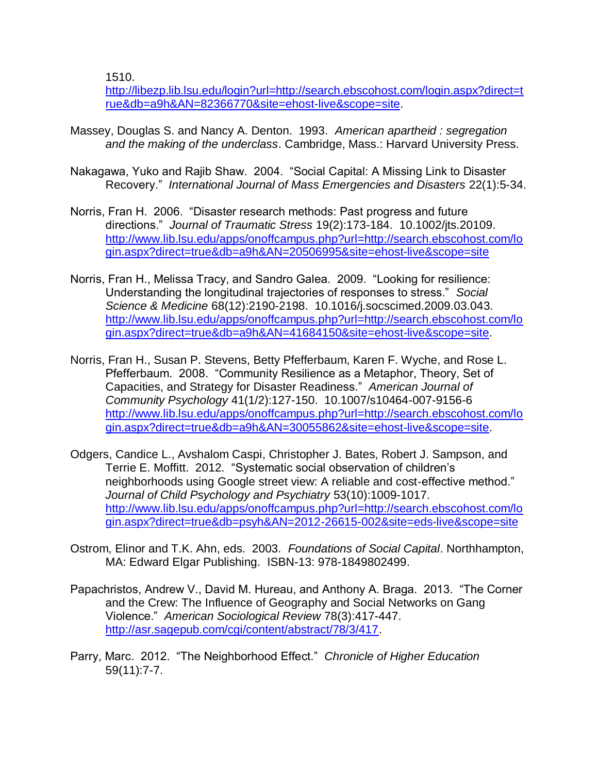1510.

[http://libezp.lib.lsu.edu/login?url=http://search.ebscohost.com/login.aspx?direct=t](http://libezp.lib.lsu.edu/login?url=http://search.ebscohost.com/login.aspx?direct=true&db=a9h&AN=82366770&site=ehost-live&scope=site) [rue&db=a9h&AN=82366770&site=ehost-live&scope=site.](http://libezp.lib.lsu.edu/login?url=http://search.ebscohost.com/login.aspx?direct=true&db=a9h&AN=82366770&site=ehost-live&scope=site)

- Massey, Douglas S. and Nancy A. Denton. 1993. *American apartheid : segregation and the making of the underclass*. Cambridge, Mass.: Harvard University Press.
- Nakagawa, Yuko and Rajib Shaw. 2004. "Social Capital: A Missing Link to Disaster Recovery." *International Journal of Mass Emergencies and Disasters* 22(1):5-34.
- Norris, Fran H. 2006. "Disaster research methods: Past progress and future directions." *Journal of Traumatic Stress* 19(2):173-184. 10.1002/jts.20109. [http://www.lib.lsu.edu/apps/onoffcampus.php?url=http://search.ebscohost.com/lo](http://www.lib.lsu.edu/apps/onoffcampus.php?url=http://search.ebscohost.com/login.aspx?direct=true&db=a9h&AN=20506995&site=ehost-live&scope=site) [gin.aspx?direct=true&db=a9h&AN=20506995&site=ehost-live&scope=site](http://www.lib.lsu.edu/apps/onoffcampus.php?url=http://search.ebscohost.com/login.aspx?direct=true&db=a9h&AN=20506995&site=ehost-live&scope=site)
- Norris, Fran H., Melissa Tracy, and Sandro Galea. 2009. "Looking for resilience: Understanding the longitudinal trajectories of responses to stress." *Social Science & Medicine* 68(12):2190-2198. 10.1016/j.socscimed.2009.03.043. [http://www.lib.lsu.edu/apps/onoffcampus.php?url=http://search.ebscohost.com/lo](http://www.lib.lsu.edu/apps/onoffcampus.php?url=http://search.ebscohost.com/login.aspx?direct=true&db=a9h&AN=41684150&site=ehost-live&scope=site) [gin.aspx?direct=true&db=a9h&AN=41684150&site=ehost-live&scope=site.](http://www.lib.lsu.edu/apps/onoffcampus.php?url=http://search.ebscohost.com/login.aspx?direct=true&db=a9h&AN=41684150&site=ehost-live&scope=site)
- Norris, Fran H., Susan P. Stevens, Betty Pfefferbaum, Karen F. Wyche, and Rose L. Pfefferbaum. 2008. "Community Resilience as a Metaphor, Theory, Set of Capacities, and Strategy for Disaster Readiness." *American Journal of Community Psychology* 41(1/2):127-150. 10.1007/s10464-007-9156-6 [http://www.lib.lsu.edu/apps/onoffcampus.php?url=http://search.ebscohost.com/lo](http://www.lib.lsu.edu/apps/onoffcampus.php?url=http://search.ebscohost.com/login.aspx?direct=true&db=a9h&AN=30055862&site=ehost-live&scope=site) [gin.aspx?direct=true&db=a9h&AN=30055862&site=ehost-live&scope=site.](http://www.lib.lsu.edu/apps/onoffcampus.php?url=http://search.ebscohost.com/login.aspx?direct=true&db=a9h&AN=30055862&site=ehost-live&scope=site)
- Odgers, Candice L., Avshalom Caspi, Christopher J. Bates, Robert J. Sampson, and Terrie E. Moffitt. 2012. "Systematic social observation of children's neighborhoods using Google street view: A reliable and cost-effective method." *Journal of Child Psychology and Psychiatry* 53(10):1009-1017. [http://www.lib.lsu.edu/apps/onoffcampus.php?url=http://search.ebscohost.com/lo](http://www.lib.lsu.edu/apps/onoffcampus.php?url=http://search.ebscohost.com/login.aspx?direct=true&db=psyh&AN=2012-26615-002&site=eds-live&scope=site) [gin.aspx?direct=true&db=psyh&AN=2012-26615-002&site=eds-live&scope=site](http://www.lib.lsu.edu/apps/onoffcampus.php?url=http://search.ebscohost.com/login.aspx?direct=true&db=psyh&AN=2012-26615-002&site=eds-live&scope=site)
- Ostrom, Elinor and T.K. Ahn, eds. 2003. *Foundations of Social Capital*. Northhampton, MA: Edward Elgar Publishing. ISBN-13: 978-1849802499.
- Papachristos, Andrew V., David M. Hureau, and Anthony A. Braga. 2013. "The Corner and the Crew: The Influence of Geography and Social Networks on Gang Violence." *American Sociological Review* 78(3):417-447. [http://asr.sagepub.com/cgi/content/abstract/78/3/417.](http://asr.sagepub.com/cgi/content/abstract/78/3/417)
- Parry, Marc. 2012. "The Neighborhood Effect." *Chronicle of Higher Education* 59(11):7-7.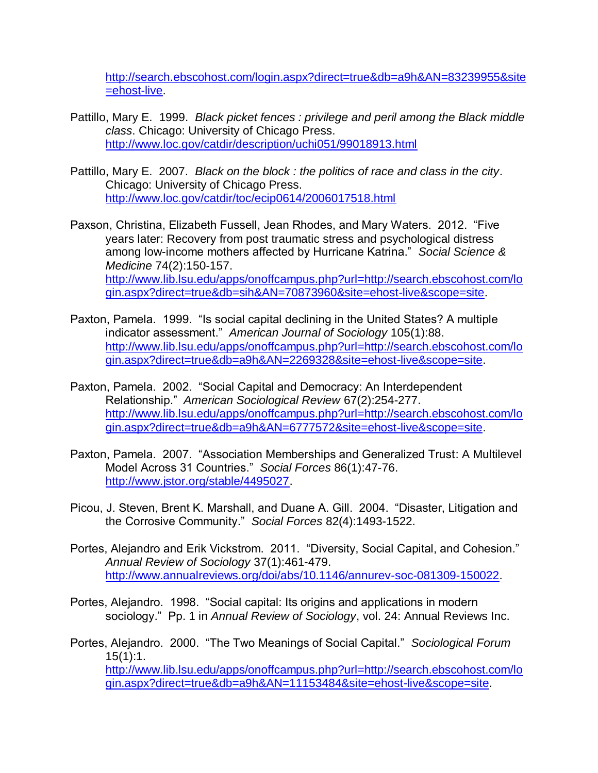[http://search.ebscohost.com/login.aspx?direct=true&db=a9h&AN=83239955&site](http://search.ebscohost.com/login.aspx?direct=true&db=a9h&AN=83239955&site=ehost-live) [=ehost-live.](http://search.ebscohost.com/login.aspx?direct=true&db=a9h&AN=83239955&site=ehost-live)

- Pattillo, Mary E. 1999. *Black picket fences : privilege and peril among the Black middle class*. Chicago: University of Chicago Press. <http://www.loc.gov/catdir/description/uchi051/99018913.html>
- Pattillo, Mary E. 2007. *Black on the block : the politics of race and class in the city*. Chicago: University of Chicago Press. <http://www.loc.gov/catdir/toc/ecip0614/2006017518.html>
- Paxson, Christina, Elizabeth Fussell, Jean Rhodes, and Mary Waters. 2012. "Five years later: Recovery from post traumatic stress and psychological distress among low-income mothers affected by Hurricane Katrina." *Social Science & Medicine* 74(2):150-157. [http://www.lib.lsu.edu/apps/onoffcampus.php?url=http://search.ebscohost.com/lo](http://www.lib.lsu.edu/apps/onoffcampus.php?url=http://search.ebscohost.com/login.aspx?direct=true&db=sih&AN=70873960&site=ehost-live&scope=site) [gin.aspx?direct=true&db=sih&AN=70873960&site=ehost-live&scope=site.](http://www.lib.lsu.edu/apps/onoffcampus.php?url=http://search.ebscohost.com/login.aspx?direct=true&db=sih&AN=70873960&site=ehost-live&scope=site)
- Paxton, Pamela. 1999. "Is social capital declining in the United States? A multiple indicator assessment." *American Journal of Sociology* 105(1):88. [http://www.lib.lsu.edu/apps/onoffcampus.php?url=http://search.ebscohost.com/lo](http://www.lib.lsu.edu/apps/onoffcampus.php?url=http://search.ebscohost.com/login.aspx?direct=true&db=a9h&AN=2269328&site=ehost-live&scope=site) [gin.aspx?direct=true&db=a9h&AN=2269328&site=ehost-live&scope=site.](http://www.lib.lsu.edu/apps/onoffcampus.php?url=http://search.ebscohost.com/login.aspx?direct=true&db=a9h&AN=2269328&site=ehost-live&scope=site)
- Paxton, Pamela. 2002. "Social Capital and Democracy: An Interdependent Relationship." *American Sociological Review* 67(2):254-277. [http://www.lib.lsu.edu/apps/onoffcampus.php?url=http://search.ebscohost.com/lo](http://www.lib.lsu.edu/apps/onoffcampus.php?url=http://search.ebscohost.com/login.aspx?direct=true&db=a9h&AN=6777572&site=ehost-live&scope=site) [gin.aspx?direct=true&db=a9h&AN=6777572&site=ehost-live&scope=site.](http://www.lib.lsu.edu/apps/onoffcampus.php?url=http://search.ebscohost.com/login.aspx?direct=true&db=a9h&AN=6777572&site=ehost-live&scope=site)
- Paxton, Pamela. 2007. "Association Memberships and Generalized Trust: A Multilevel Model Across 31 Countries." *Social Forces* 86(1):47-76. [http://www.jstor.org/stable/4495027.](http://www.jstor.org/stable/4495027)
- Picou, J. Steven, Brent K. Marshall, and Duane A. Gill. 2004. "Disaster, Litigation and the Corrosive Community." *Social Forces* 82(4):1493-1522.
- Portes, Alejandro and Erik Vickstrom. 2011. "Diversity, Social Capital, and Cohesion." *Annual Review of Sociology* 37(1):461-479. [http://www.annualreviews.org/doi/abs/10.1146/annurev-soc-081309-150022.](http://www.annualreviews.org/doi/abs/10.1146/annurev-soc-081309-150022)
- Portes, Alejandro. 1998. "Social capital: Its origins and applications in modern sociology." Pp. 1 in *Annual Review of Sociology*, vol. 24: Annual Reviews Inc.

Portes, Alejandro. 2000. "The Two Meanings of Social Capital." *Sociological Forum* 15(1):1. [http://www.lib.lsu.edu/apps/onoffcampus.php?url=http://search.ebscohost.com/lo](http://www.lib.lsu.edu/apps/onoffcampus.php?url=http://search.ebscohost.com/login.aspx?direct=true&db=a9h&AN=11153484&site=ehost-live&scope=site) [gin.aspx?direct=true&db=a9h&AN=11153484&site=ehost-live&scope=site.](http://www.lib.lsu.edu/apps/onoffcampus.php?url=http://search.ebscohost.com/login.aspx?direct=true&db=a9h&AN=11153484&site=ehost-live&scope=site)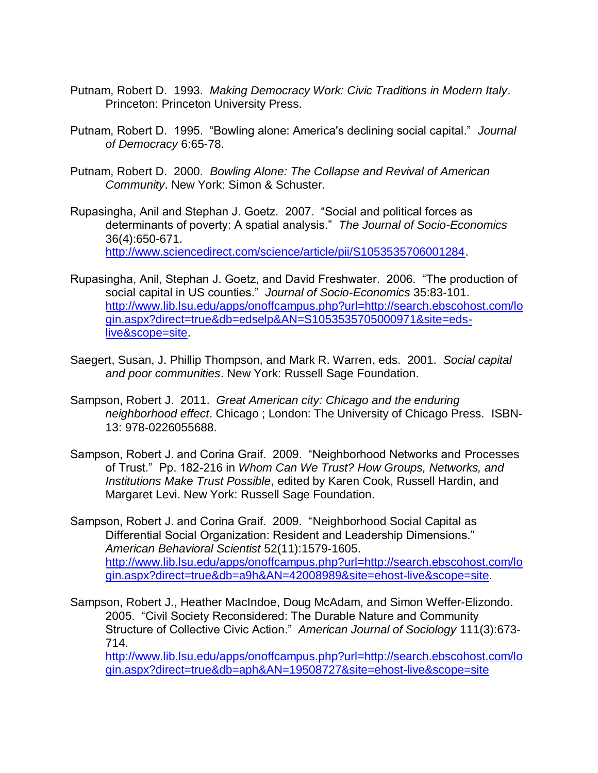- Putnam, Robert D. 1993. *Making Democracy Work: Civic Traditions in Modern Italy*. Princeton: Princeton University Press.
- Putnam, Robert D. 1995. "Bowling alone: America's declining social capital." *Journal of Democracy* 6:65-78.
- Putnam, Robert D. 2000. *Bowling Alone: The Collapse and Revival of American Community*. New York: Simon & Schuster.
- Rupasingha, Anil and Stephan J. Goetz. 2007. "Social and political forces as determinants of poverty: A spatial analysis." *The Journal of Socio-Economics* 36(4):650-671. [http://www.sciencedirect.com/science/article/pii/S1053535706001284.](http://www.sciencedirect.com/science/article/pii/S1053535706001284)
- Rupasingha, Anil, Stephan J. Goetz, and David Freshwater. 2006. "The production of social capital in US counties." *Journal of Socio-Economics* 35:83-101. [http://www.lib.lsu.edu/apps/onoffcampus.php?url=http://search.ebscohost.com/lo](http://www.lib.lsu.edu/apps/onoffcampus.php?url=http://search.ebscohost.com/login.aspx?direct=true&db=edselp&AN=S1053535705000971&site=eds-live&scope=site) [gin.aspx?direct=true&db=edselp&AN=S1053535705000971&site=eds](http://www.lib.lsu.edu/apps/onoffcampus.php?url=http://search.ebscohost.com/login.aspx?direct=true&db=edselp&AN=S1053535705000971&site=eds-live&scope=site)[live&scope=site.](http://www.lib.lsu.edu/apps/onoffcampus.php?url=http://search.ebscohost.com/login.aspx?direct=true&db=edselp&AN=S1053535705000971&site=eds-live&scope=site)
- Saegert, Susan, J. Phillip Thompson, and Mark R. Warren, eds. 2001. *Social capital and poor communities*. New York: Russell Sage Foundation.
- Sampson, Robert J. 2011. *Great American city: Chicago and the enduring neighborhood effect*. Chicago ; London: The University of Chicago Press. ISBN-13: 978-0226055688.
- Sampson, Robert J. and Corina Graif. 2009. "Neighborhood Networks and Processes of Trust." Pp. 182-216 in *Whom Can We Trust? How Groups, Networks, and Institutions Make Trust Possible*, edited by Karen Cook, Russell Hardin, and Margaret Levi. New York: Russell Sage Foundation.
- Sampson, Robert J. and Corina Graif. 2009. "Neighborhood Social Capital as Differential Social Organization: Resident and Leadership Dimensions." *American Behavioral Scientist* 52(11):1579-1605. [http://www.lib.lsu.edu/apps/onoffcampus.php?url=http://search.ebscohost.com/lo](http://www.lib.lsu.edu/apps/onoffcampus.php?url=http://search.ebscohost.com/login.aspx?direct=true&db=a9h&AN=42008989&site=ehost-live&scope=site) [gin.aspx?direct=true&db=a9h&AN=42008989&site=ehost-live&scope=site.](http://www.lib.lsu.edu/apps/onoffcampus.php?url=http://search.ebscohost.com/login.aspx?direct=true&db=a9h&AN=42008989&site=ehost-live&scope=site)
- Sampson, Robert J., Heather MacIndoe, Doug McAdam, and Simon Weffer-Elizondo. 2005. "Civil Society Reconsidered: The Durable Nature and Community Structure of Collective Civic Action." *American Journal of Sociology* 111(3):673- 714.

[http://www.lib.lsu.edu/apps/onoffcampus.php?url=http://search.ebscohost.com/lo](http://www.lib.lsu.edu/apps/onoffcampus.php?url=http://search.ebscohost.com/login.aspx?direct=true&db=aph&AN=19508727&site=ehost-live&scope=site) [gin.aspx?direct=true&db=aph&AN=19508727&site=ehost-live&scope=site](http://www.lib.lsu.edu/apps/onoffcampus.php?url=http://search.ebscohost.com/login.aspx?direct=true&db=aph&AN=19508727&site=ehost-live&scope=site)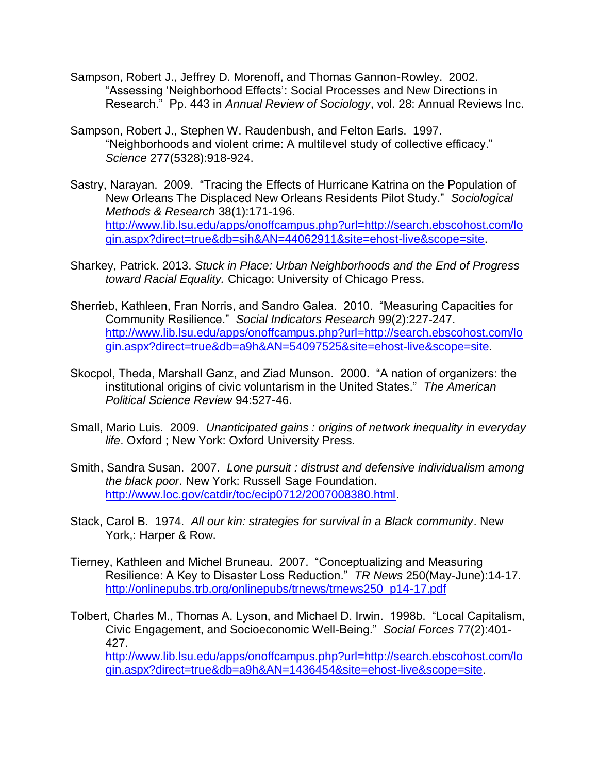- Sampson, Robert J., Jeffrey D. Morenoff, and Thomas Gannon-Rowley. 2002. "Assessing 'Neighborhood Effects': Social Processes and New Directions in Research." Pp. 443 in *Annual Review of Sociology*, vol. 28: Annual Reviews Inc.
- Sampson, Robert J., Stephen W. Raudenbush, and Felton Earls. 1997. "Neighborhoods and violent crime: A multilevel study of collective efficacy." *Science* 277(5328):918-924.
- Sastry, Narayan. 2009. "Tracing the Effects of Hurricane Katrina on the Population of New Orleans The Displaced New Orleans Residents Pilot Study." *Sociological Methods & Research* 38(1):171-196. [http://www.lib.lsu.edu/apps/onoffcampus.php?url=http://search.ebscohost.com/lo](http://www.lib.lsu.edu/apps/onoffcampus.php?url=http://search.ebscohost.com/login.aspx?direct=true&db=sih&AN=44062911&site=ehost-live&scope=site) [gin.aspx?direct=true&db=sih&AN=44062911&site=ehost-live&scope=site.](http://www.lib.lsu.edu/apps/onoffcampus.php?url=http://search.ebscohost.com/login.aspx?direct=true&db=sih&AN=44062911&site=ehost-live&scope=site)
- Sharkey, Patrick. 2013. *Stuck in Place: Urban Neighborhoods and the End of Progress toward Racial Equality.* Chicago: University of Chicago Press.
- Sherrieb, Kathleen, Fran Norris, and Sandro Galea. 2010. "Measuring Capacities for Community Resilience." *Social Indicators Research* 99(2):227-247. [http://www.lib.lsu.edu/apps/onoffcampus.php?url=http://search.ebscohost.com/lo](http://www.lib.lsu.edu/apps/onoffcampus.php?url=http://search.ebscohost.com/login.aspx?direct=true&db=a9h&AN=54097525&site=ehost-live&scope=site) [gin.aspx?direct=true&db=a9h&AN=54097525&site=ehost-live&scope=site.](http://www.lib.lsu.edu/apps/onoffcampus.php?url=http://search.ebscohost.com/login.aspx?direct=true&db=a9h&AN=54097525&site=ehost-live&scope=site)
- Skocpol, Theda, Marshall Ganz, and Ziad Munson. 2000. "A nation of organizers: the institutional origins of civic voluntarism in the United States." *The American Political Science Review* 94:527-46.
- Small, Mario Luis. 2009. *Unanticipated gains : origins of network inequality in everyday life*. Oxford ; New York: Oxford University Press.
- Smith, Sandra Susan. 2007. *Lone pursuit : distrust and defensive individualism among the black poor*. New York: Russell Sage Foundation. [http://www.loc.gov/catdir/toc/ecip0712/2007008380.html.](http://www.loc.gov/catdir/toc/ecip0712/2007008380.html)
- Stack, Carol B. 1974. *All our kin: strategies for survival in a Black community*. New York,: Harper & Row.
- Tierney, Kathleen and Michel Bruneau. 2007. "Conceptualizing and Measuring Resilience: A Key to Disaster Loss Reduction." *TR News* 250(May-June):14-17. [http://onlinepubs.trb.org/onlinepubs/trnews/trnews250\\_p14-17.pdf](http://onlinepubs.trb.org/onlinepubs/trnews/trnews250_p14-17.pdf)
- Tolbert, Charles M., Thomas A. Lyson, and Michael D. Irwin. 1998b. "Local Capitalism, Civic Engagement, and Socioeconomic Well-Being." *Social Forces* 77(2):401- 427.

[http://www.lib.lsu.edu/apps/onoffcampus.php?url=http://search.ebscohost.com/lo](http://www.lib.lsu.edu/apps/onoffcampus.php?url=http://search.ebscohost.com/login.aspx?direct=true&db=a9h&AN=1436454&site=ehost-live&scope=site) [gin.aspx?direct=true&db=a9h&AN=1436454&site=ehost-live&scope=site.](http://www.lib.lsu.edu/apps/onoffcampus.php?url=http://search.ebscohost.com/login.aspx?direct=true&db=a9h&AN=1436454&site=ehost-live&scope=site)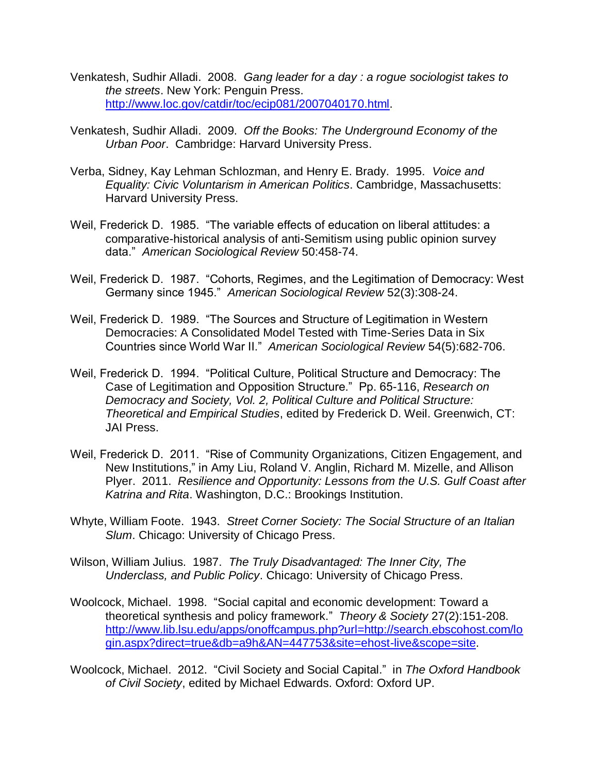- Venkatesh, Sudhir Alladi. 2008. *Gang leader for a day : a rogue sociologist takes to the streets*. New York: Penguin Press. [http://www.loc.gov/catdir/toc/ecip081/2007040170.html.](http://www.loc.gov/catdir/toc/ecip081/2007040170.html)
- Venkatesh, Sudhir Alladi. 2009. *Off the Books: The Underground Economy of the Urban Poor*. Cambridge: Harvard University Press.
- Verba, Sidney, Kay Lehman Schlozman, and Henry E. Brady. 1995. *Voice and Equality: Civic Voluntarism in American Politics*. Cambridge, Massachusetts: Harvard University Press.
- Weil, Frederick D. 1985. "The variable effects of education on liberal attitudes: a comparative-historical analysis of anti-Semitism using public opinion survey data." *American Sociological Review* 50:458-74.
- Weil, Frederick D. 1987. "Cohorts, Regimes, and the Legitimation of Democracy: West Germany since 1945." *American Sociological Review* 52(3):308-24.
- Weil, Frederick D. 1989. "The Sources and Structure of Legitimation in Western Democracies: A Consolidated Model Tested with Time-Series Data in Six Countries since World War II." *American Sociological Review* 54(5):682-706.
- Weil, Frederick D. 1994. "Political Culture, Political Structure and Democracy: The Case of Legitimation and Opposition Structure." Pp. 65-116, *Research on Democracy and Society, Vol. 2, Political Culture and Political Structure: Theoretical and Empirical Studies*, edited by Frederick D. Weil. Greenwich, CT: JAI Press.
- Weil, Frederick D. 2011. "Rise of Community Organizations, Citizen Engagement, and New Institutions," in Amy Liu, Roland V. Anglin, Richard M. Mizelle, and Allison Plyer. 2011. *Resilience and Opportunity: Lessons from the U.S. Gulf Coast after Katrina and Rita*. Washington, D.C.: Brookings Institution.
- Whyte, William Foote. 1943. *Street Corner Society: The Social Structure of an Italian Slum*. Chicago: University of Chicago Press.
- Wilson, William Julius. 1987. *The Truly Disadvantaged: The Inner City, The Underclass, and Public Policy*. Chicago: University of Chicago Press.
- Woolcock, Michael. 1998. "Social capital and economic development: Toward a theoretical synthesis and policy framework." *Theory & Society* 27(2):151-208. [http://www.lib.lsu.edu/apps/onoffcampus.php?url=http://search.ebscohost.com/lo](http://www.lib.lsu.edu/apps/onoffcampus.php?url=http://search.ebscohost.com/login.aspx?direct=true&db=a9h&AN=447753&site=ehost-live&scope=site) [gin.aspx?direct=true&db=a9h&AN=447753&site=ehost-live&scope=site.](http://www.lib.lsu.edu/apps/onoffcampus.php?url=http://search.ebscohost.com/login.aspx?direct=true&db=a9h&AN=447753&site=ehost-live&scope=site)
- Woolcock, Michael. 2012. "Civil Society and Social Capital." in *The Oxford Handbook of Civil Society*, edited by Michael Edwards. Oxford: Oxford UP.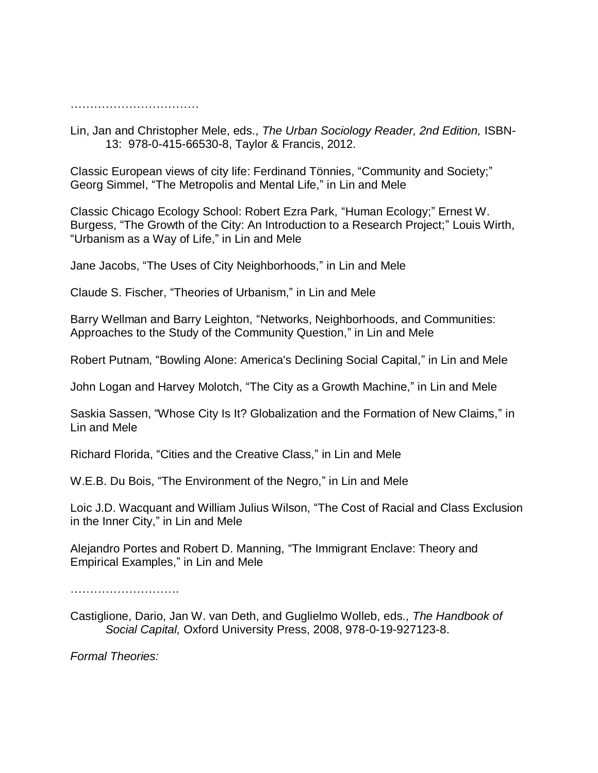……………………………………………

Lin, Jan and Christopher Mele, eds., *The Urban Sociology Reader, 2nd Edition,* ISBN-13: 978-0-415-66530-8, Taylor & Francis, 2012.

Classic European views of city life: Ferdinand Tönnies, "Community and Society;" Georg Simmel, "The Metropolis and Mental Life," in Lin and Mele

Classic Chicago Ecology School: Robert Ezra Park, "Human Ecology;" Ernest W. Burgess, "The Growth of the City: An Introduction to a Research Project;" Louis Wirth, "Urbanism as a Way of Life," in Lin and Mele

Jane Jacobs, "The Uses of City Neighborhoods," in Lin and Mele

Claude S. Fischer, "Theories of Urbanism," in Lin and Mele

Barry Wellman and Barry Leighton, "Networks, Neighborhoods, and Communities: Approaches to the Study of the Community Question," in Lin and Mele

Robert Putnam, "Bowling Alone: America's Declining Social Capital," in Lin and Mele

John Logan and Harvey Molotch, "The City as a Growth Machine," in Lin and Mele

Saskia Sassen, "Whose City Is It? Globalization and the Formation of New Claims," in Lin and Mele

Richard Florida, "Cities and the Creative Class," in Lin and Mele

W.E.B. Du Bois, "The Environment of the Negro," in Lin and Mele

Loic J.D. Wacquant and William Julius Wilson, "The Cost of Racial and Class Exclusion in the Inner City," in Lin and Mele

Alejandro Portes and Robert D. Manning, "The Immigrant Enclave: Theory and Empirical Examples," in Lin and Mele

……………………….

Castiglione, Dario, Jan W. van Deth, and Guglielmo Wolleb, eds., *The Handbook of Social Capital,* Oxford University Press, 2008, 978-0-19-927123-8.

*Formal Theories:*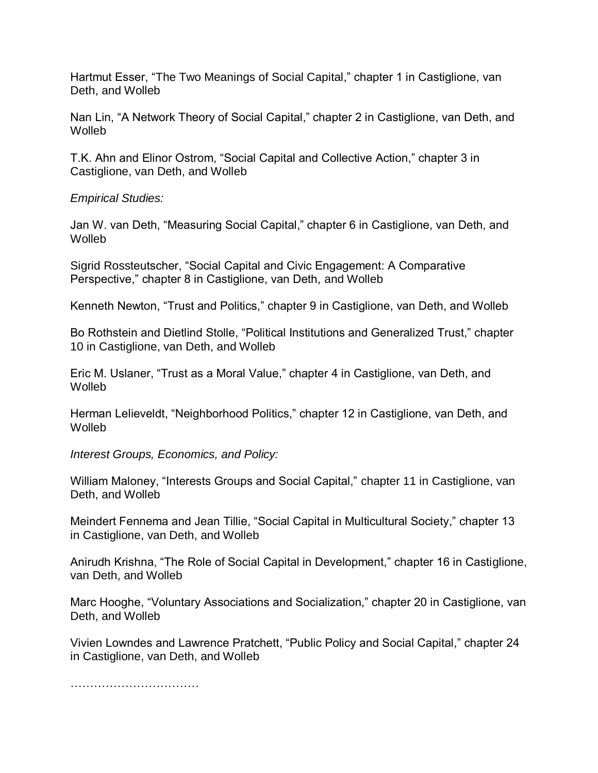Hartmut Esser, "The Two Meanings of Social Capital," chapter 1 in Castiglione, van Deth, and Wolleb

Nan Lin, "A Network Theory of Social Capital," chapter 2 in Castiglione, van Deth, and **Wolleh** 

T.K. Ahn and Elinor Ostrom, "Social Capital and Collective Action," chapter 3 in Castiglione, van Deth, and Wolleb

*Empirical Studies:*

Jan W. van Deth, "Measuring Social Capital," chapter 6 in Castiglione, van Deth, and **Wolleb** 

Sigrid Rossteutscher, "Social Capital and Civic Engagement: A Comparative Perspective," chapter 8 in Castiglione, van Deth, and Wolleb

Kenneth Newton, "Trust and Politics," chapter 9 in Castiglione, van Deth, and Wolleb

Bo Rothstein and Dietlind Stolle, "Political Institutions and Generalized Trust," chapter 10 in Castiglione, van Deth, and Wolleb

Eric M. Uslaner, "Trust as a Moral Value," chapter 4 in Castiglione, van Deth, and **Wolleb** 

Herman Lelieveldt, "Neighborhood Politics," chapter 12 in Castiglione, van Deth, and **Wolleb** 

*Interest Groups, Economics, and Policy:*

William Maloney, "Interests Groups and Social Capital," chapter 11 in Castiglione, van Deth, and Wolleb

Meindert Fennema and Jean Tillie, "Social Capital in Multicultural Society," chapter 13 in Castiglione, van Deth, and Wolleb

Anirudh Krishna, "The Role of Social Capital in Development," chapter 16 in Castiglione, van Deth, and Wolleb

Marc Hooghe, "Voluntary Associations and Socialization," chapter 20 in Castiglione, van Deth, and Wolleb

Vivien Lowndes and Lawrence Pratchett, "Public Policy and Social Capital," chapter 24 in Castiglione, van Deth, and Wolleb

……………………………………………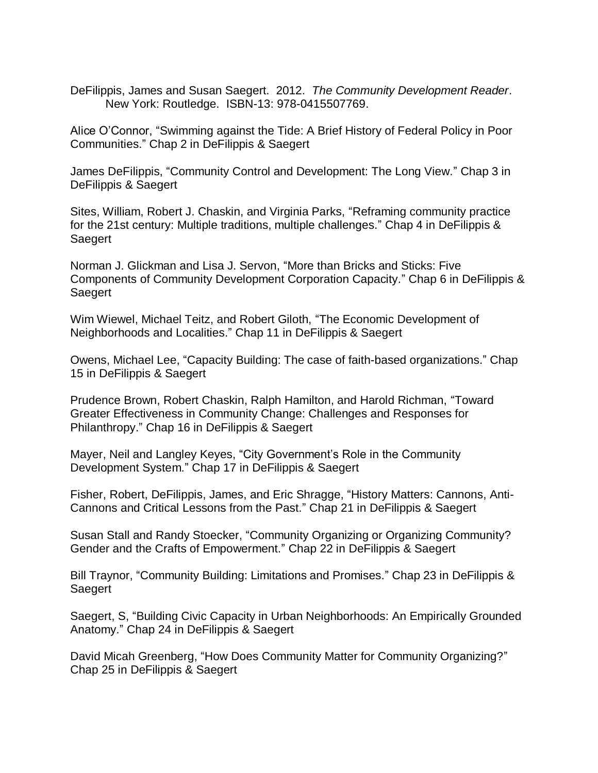DeFilippis, James and Susan Saegert. 2012. *The Community Development Reader*. New York: Routledge. ISBN-13: 978-0415507769.

Alice O'Connor, "Swimming against the Tide: A Brief History of Federal Policy in Poor Communities." Chap 2 in DeFilippis & Saegert

James DeFilippis, "Community Control and Development: The Long View." Chap 3 in DeFilippis & Saegert

Sites, William, Robert J. Chaskin, and Virginia Parks, "Reframing community practice for the 21st century: Multiple traditions, multiple challenges." Chap 4 in DeFilippis & Saegert

Norman J. Glickman and Lisa J. Servon, "More than Bricks and Sticks: Five Components of Community Development Corporation Capacity." Chap 6 in DeFilippis & Saegert

Wim Wiewel, Michael Teitz, and Robert Giloth, "The Economic Development of Neighborhoods and Localities." Chap 11 in DeFilippis & Saegert

Owens, Michael Lee, "Capacity Building: The case of faith-based organizations." Chap 15 in DeFilippis & Saegert

Prudence Brown, Robert Chaskin, Ralph Hamilton, and Harold Richman, "Toward Greater Effectiveness in Community Change: Challenges and Responses for Philanthropy." Chap 16 in DeFilippis & Saegert

Mayer, Neil and Langley Keyes, "City Government's Role in the Community Development System." Chap 17 in DeFilippis & Saegert

Fisher, Robert, DeFilippis, James, and Eric Shragge, "History Matters: Cannons, Anti-Cannons and Critical Lessons from the Past." Chap 21 in DeFilippis & Saegert

Susan Stall and Randy Stoecker, "Community Organizing or Organizing Community? Gender and the Crafts of Empowerment." Chap 22 in DeFilippis & Saegert

Bill Traynor, "Community Building: Limitations and Promises." Chap 23 in DeFilippis & Saegert

Saegert, S, "Building Civic Capacity in Urban Neighborhoods: An Empirically Grounded Anatomy." Chap 24 in DeFilippis & Saegert

David Micah Greenberg, "How Does Community Matter for Community Organizing?" Chap 25 in DeFilippis & Saegert